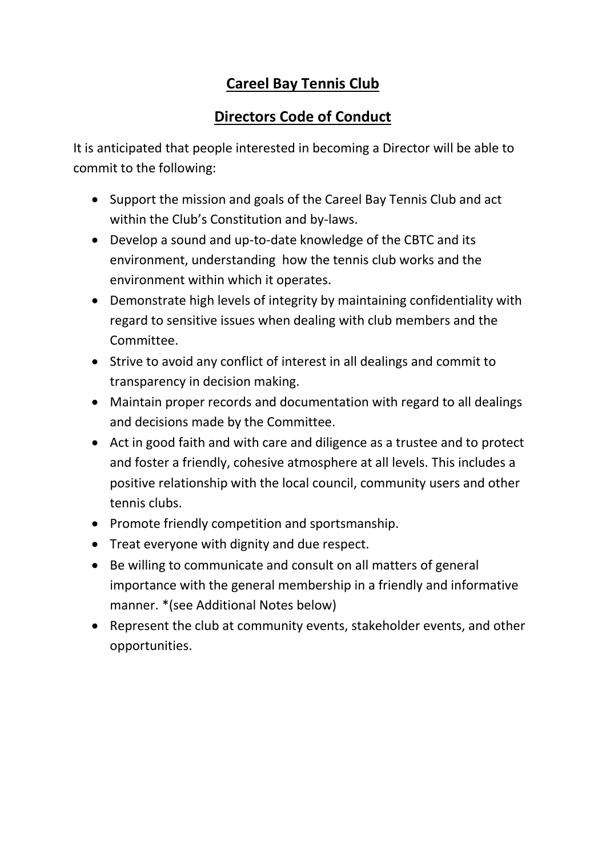## **Careel Bay Tennis Club**

## **Directors Code of Conduct**

It is anticipated that people interested in becoming a Director will be able to commit to the following:

- Support the mission and goals of the Careel Bay Tennis Club and act within the Club's Constitution and by-laws.
- Develop a sound and up-to-date knowledge of the CBTC and its environment, understanding how the tennis club works and the environment within which it operates.
- Demonstrate high levels of integrity by maintaining confidentiality with regard to sensitive issues when dealing with club members and the Committee.
- Strive to avoid any conflict of interest in all dealings and commit to transparency in decision making.
- Maintain proper records and documentation with regard to all dealings and decisions made by the Committee.
- Act in good faith and with care and diligence as a trustee and to protect and foster a friendly, cohesive atmosphere at all levels. This includes a positive relationship with the local council, community users and other tennis clubs.
- Promote friendly competition and sportsmanship.
- Treat everyone with dignity and due respect.
- Be willing to communicate and consult on all matters of general importance with the general membership in a friendly and informative manner. \*(see Additional Notes below)
- Represent the club at community events, stakeholder events, and other opportunities.